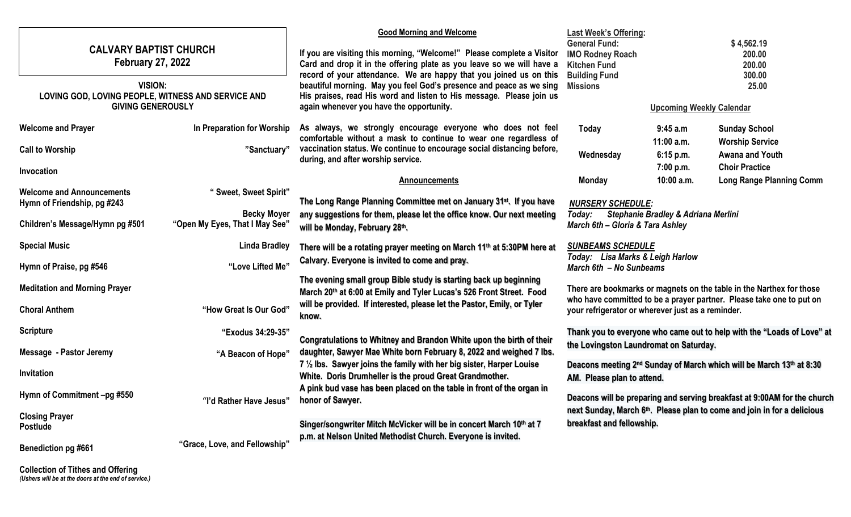| <b>CALVARY BAPTIST CHURCH</b><br><b>February 27, 2022</b><br><b>VISION:</b><br>LOVING GOD, LOVING PEOPLE, WITNESS AND SERVICE AND<br><b>GIVING GENEROUSLY</b> |                                | <b>Good Morning and Welcome</b><br>If you are visiting this morning, "Welcome!" Please complete a Visitor<br>Card and drop it in the offering plate as you leave so we will have a<br>record of your attendance. We are happy that you joined us on this<br>beautiful morning. May you feel God's presence and peace as we sing<br>His praises, read His word and listen to His message. Please join us<br>again whenever you have the opportunity. | <b>Last Week's Offering:</b><br><b>General Fund:</b><br><b>IMO Rodney Roach</b><br><b>Kitchen Fund</b><br><b>Building Fund</b><br><b>Missions</b>                                                 | <b>Upcoming Weekly Calendar</b>        | \$4,562.19<br>200.00<br>200.00<br>300.00<br>25.00                  |
|---------------------------------------------------------------------------------------------------------------------------------------------------------------|--------------------------------|-----------------------------------------------------------------------------------------------------------------------------------------------------------------------------------------------------------------------------------------------------------------------------------------------------------------------------------------------------------------------------------------------------------------------------------------------------|---------------------------------------------------------------------------------------------------------------------------------------------------------------------------------------------------|----------------------------------------|--------------------------------------------------------------------|
| <b>Welcome and Prayer</b>                                                                                                                                     | In Preparation for Worship     | As always, we strongly encourage everyone who does not feel<br>comfortable without a mask to continue to wear one regardless of                                                                                                                                                                                                                                                                                                                     | Today                                                                                                                                                                                             | 9:45a.m                                | <b>Sunday School</b>                                               |
| <b>Call to Worship</b>                                                                                                                                        | "Sanctuary"                    | vaccination status. We continue to encourage social distancing before,<br>during, and after worship service.                                                                                                                                                                                                                                                                                                                                        | Wednesday                                                                                                                                                                                         | $11:00$ a.m.<br>6:15 p.m.<br>7:00 p.m. | <b>Worship Service</b><br>Awana and Youth<br><b>Choir Practice</b> |
| Invocation                                                                                                                                                    |                                | <b>Announcements</b>                                                                                                                                                                                                                                                                                                                                                                                                                                | <b>Monday</b>                                                                                                                                                                                     | 10:00 a.m.                             | <b>Long Range Planning Comm</b>                                    |
| <b>Welcome and Announcements</b>                                                                                                                              | "Sweet, Sweet Spirit"          |                                                                                                                                                                                                                                                                                                                                                                                                                                                     |                                                                                                                                                                                                   |                                        |                                                                    |
| Hymn of Friendship, pg #243                                                                                                                                   | <b>Becky Moyer</b>             | The Long Range Planning Committee met on January 31 <sup>st</sup> . If you have                                                                                                                                                                                                                                                                                                                                                                     | <b>NURSERY SCHEDULE:</b>                                                                                                                                                                          |                                        |                                                                    |
| Children's Message/Hymn pg #501                                                                                                                               | "Open My Eyes, That I May See" | any suggestions for them, please let the office know. Our next meeting<br>Stephanie Bradley & Adriana Merlini<br>Today:<br>March 6th - Gloria & Tara Ashley<br>will be Monday, February 28th.                                                                                                                                                                                                                                                       |                                                                                                                                                                                                   |                                        |                                                                    |
| <b>Special Music</b>                                                                                                                                          | <b>Linda Bradley</b>           | There will be a rotating prayer meeting on March 11th at 5:30PM here at                                                                                                                                                                                                                                                                                                                                                                             | <b>SUNBEAMS SCHEDULE</b><br>Today: Lisa Marks & Leigh Harlow<br>March 6th - No Sunbeams                                                                                                           |                                        |                                                                    |
| Hymn of Praise, pg #546                                                                                                                                       | "Love Lifted Me"               | Calvary. Everyone is invited to come and pray.                                                                                                                                                                                                                                                                                                                                                                                                      |                                                                                                                                                                                                   |                                        |                                                                    |
| <b>Meditation and Morning Prayer</b>                                                                                                                          |                                | The evening small group Bible study is starting back up beginning<br>March 20th at 6:00 at Emily and Tyler Lucas's 526 Front Street. Food                                                                                                                                                                                                                                                                                                           | There are bookmarks or magnets on the table in the Narthex for those<br>who have committed to be a prayer partner. Please take one to put on<br>your refrigerator or wherever just as a reminder. |                                        |                                                                    |
| <b>Choral Anthem</b>                                                                                                                                          | "How Great Is Our God"         | will be provided. If interested, please let the Pastor, Emily, or Tyler<br>know.                                                                                                                                                                                                                                                                                                                                                                    |                                                                                                                                                                                                   |                                        |                                                                    |
| <b>Scripture</b>                                                                                                                                              | "Exodus 34:29-35"              |                                                                                                                                                                                                                                                                                                                                                                                                                                                     | Thank you to everyone who came out to help with the "Loads of Love" at                                                                                                                            |                                        |                                                                    |
| Message - Pastor Jeremy                                                                                                                                       | "A Beacon of Hope"             | Congratulations to Whitney and Brandon White upon the birth of their<br>daughter, Sawyer Mae White born February 8, 2022 and weighed 7 lbs.                                                                                                                                                                                                                                                                                                         | the Lovingston Laundromat on Saturday.                                                                                                                                                            |                                        |                                                                    |
| <b>Invitation</b>                                                                                                                                             |                                | 7 1/2 lbs. Sawyer joins the family with her big sister, Harper Louise<br>White. Doris Drumheller is the proud Great Grandmother.                                                                                                                                                                                                                                                                                                                    | Deacons meeting 2 <sup>nd</sup> Sunday of March which will be March 13th at 8:30<br>AM. Please plan to attend.                                                                                    |                                        |                                                                    |
| Hymn of Commitment -pg #550                                                                                                                                   | "I'd Rather Have Jesus"        | A pink bud vase has been placed on the table in front of the organ in<br>honor of Sawyer.                                                                                                                                                                                                                                                                                                                                                           | Deacons will be preparing and serving breakfast at 9:00AM for the church<br>next Sunday, March 6th. Please plan to come and join in for a delicious<br>breakfast and fellowship.                  |                                        |                                                                    |
| <b>Closing Prayer</b><br><b>Postlude</b>                                                                                                                      |                                | Singer/songwriter Mitch McVicker will be in concert March 10th at 7                                                                                                                                                                                                                                                                                                                                                                                 |                                                                                                                                                                                                   |                                        |                                                                    |
| Benediction pg #661                                                                                                                                           | "Grace, Love, and Fellowship"  | p.m. at Nelson United Methodist Church. Everyone is invited.                                                                                                                                                                                                                                                                                                                                                                                        |                                                                                                                                                                                                   |                                        |                                                                    |

**Collection of Tithes and Offering** *(Ushers will be at the doors at the end of service.)*